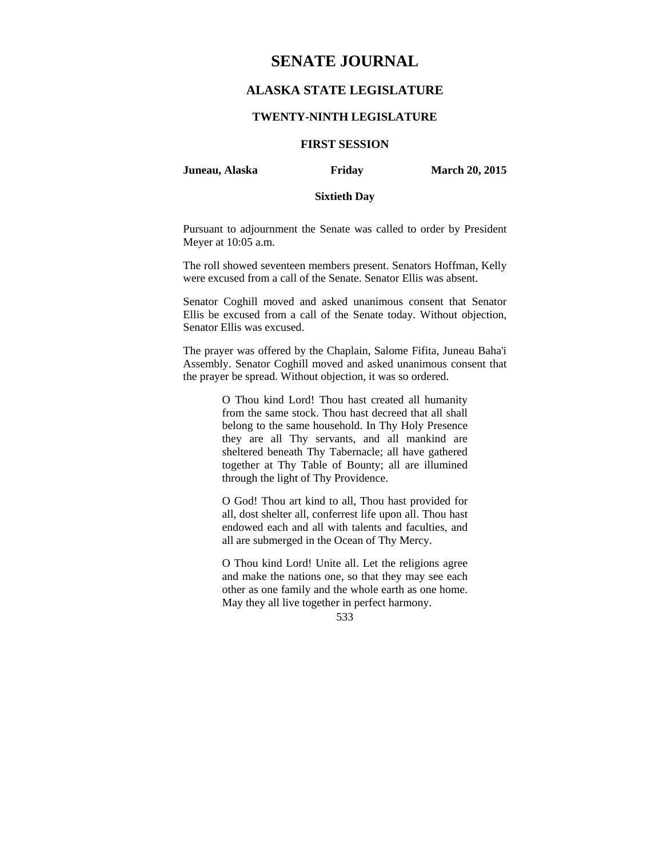# **SENATE JOURNAL**

# **ALASKA STATE LEGISLATURE**

### **TWENTY-NINTH LEGISLATURE**

# **FIRST SESSION**

**Juneau, Alaska Friday March 20, 2015** 

### **Sixtieth Day**

Pursuant to adjournment the Senate was called to order by President Meyer at 10:05 a.m.

The roll showed seventeen members present. Senators Hoffman, Kelly were excused from a call of the Senate. Senator Ellis was absent.

Senator Coghill moved and asked unanimous consent that Senator Ellis be excused from a call of the Senate today. Without objection, Senator Ellis was excused.

The prayer was offered by the Chaplain, Salome Fifita, Juneau Baha'i Assembly. Senator Coghill moved and asked unanimous consent that the prayer be spread. Without objection, it was so ordered.

> O Thou kind Lord! Thou hast created all humanity from the same stock. Thou hast decreed that all shall belong to the same household. In Thy Holy Presence they are all Thy servants, and all mankind are sheltered beneath Thy Tabernacle; all have gathered together at Thy Table of Bounty; all are illumined through the light of Thy Providence.

> O God! Thou art kind to all, Thou hast provided for all, dost shelter all, conferrest life upon all. Thou hast endowed each and all with talents and faculties, and all are submerged in the Ocean of Thy Mercy.

> O Thou kind Lord! Unite all. Let the religions agree and make the nations one, so that they may see each other as one family and the whole earth as one home. May they all live together in perfect harmony.

> > 533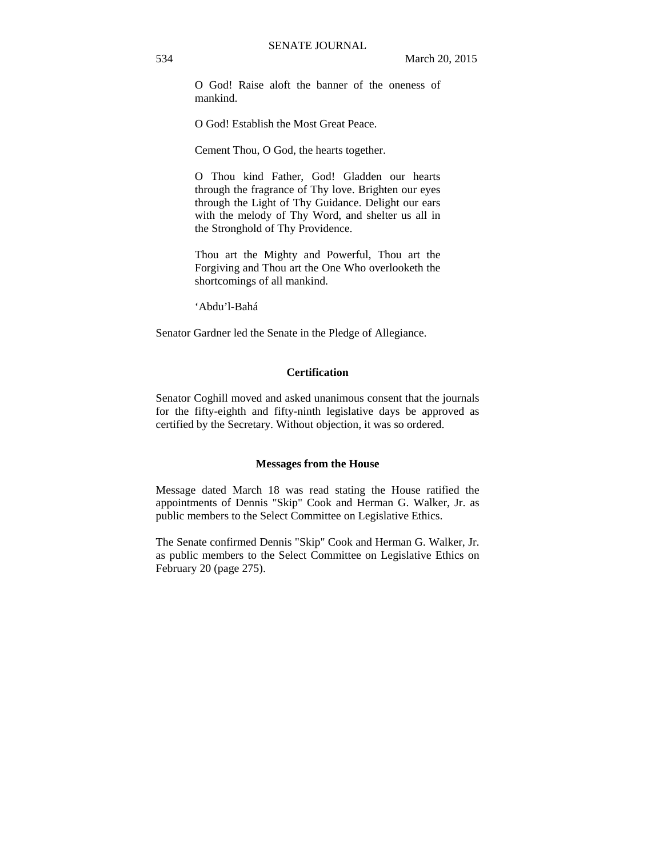O God! Raise aloft the banner of the oneness of mankind.

O God! Establish the Most Great Peace.

Cement Thou, O God, the hearts together.

O Thou kind Father, God! Gladden our hearts through the fragrance of Thy love. Brighten our eyes through the Light of Thy Guidance. Delight our ears with the melody of Thy Word, and shelter us all in the Stronghold of Thy Providence.

Thou art the Mighty and Powerful, Thou art the Forgiving and Thou art the One Who overlooketh the shortcomings of all mankind.

'Abdu'l-Bahá

Senator Gardner led the Senate in the Pledge of Allegiance.

## **Certification**

Senator Coghill moved and asked unanimous consent that the journals for the fifty-eighth and fifty-ninth legislative days be approved as certified by the Secretary. Without objection, it was so ordered.

### **Messages from the House**

Message dated March 18 was read stating the House ratified the appointments of Dennis "Skip" Cook and Herman G. Walker, Jr. as public members to the Select Committee on Legislative Ethics.

The Senate confirmed Dennis "Skip" Cook and Herman G. Walker, Jr. as public members to the Select Committee on Legislative Ethics on February 20 (page 275).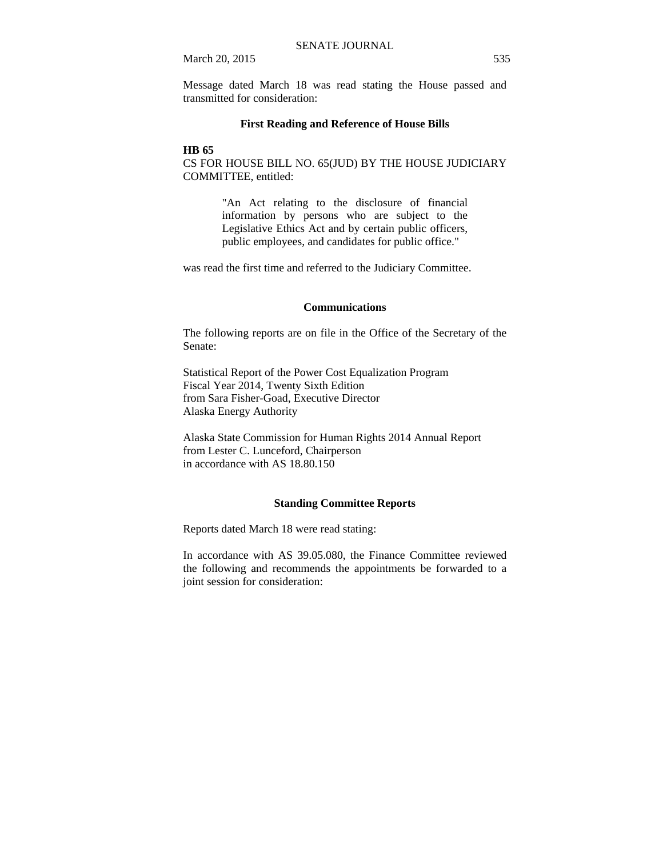March 20, 2015 535

Message dated March 18 was read stating the House passed and transmitted for consideration:

### **First Reading and Reference of House Bills**

### **HB 65**

CS FOR HOUSE BILL NO. 65(JUD) BY THE HOUSE JUDICIARY COMMITTEE, entitled:

> "An Act relating to the disclosure of financial information by persons who are subject to the Legislative Ethics Act and by certain public officers, public employees, and candidates for public office."

was read the first time and referred to the Judiciary Committee.

#### **Communications**

The following reports are on file in the Office of the Secretary of the Senate:

Statistical Report of the Power Cost Equalization Program Fiscal Year 2014, Twenty Sixth Edition from Sara Fisher-Goad, Executive Director Alaska Energy Authority

Alaska State Commission for Human Rights 2014 Annual Report from Lester C. Lunceford, Chairperson in accordance with AS 18.80.150

#### **Standing Committee Reports**

Reports dated March 18 were read stating:

In accordance with AS 39.05.080, the Finance Committee reviewed the following and recommends the appointments be forwarded to a joint session for consideration: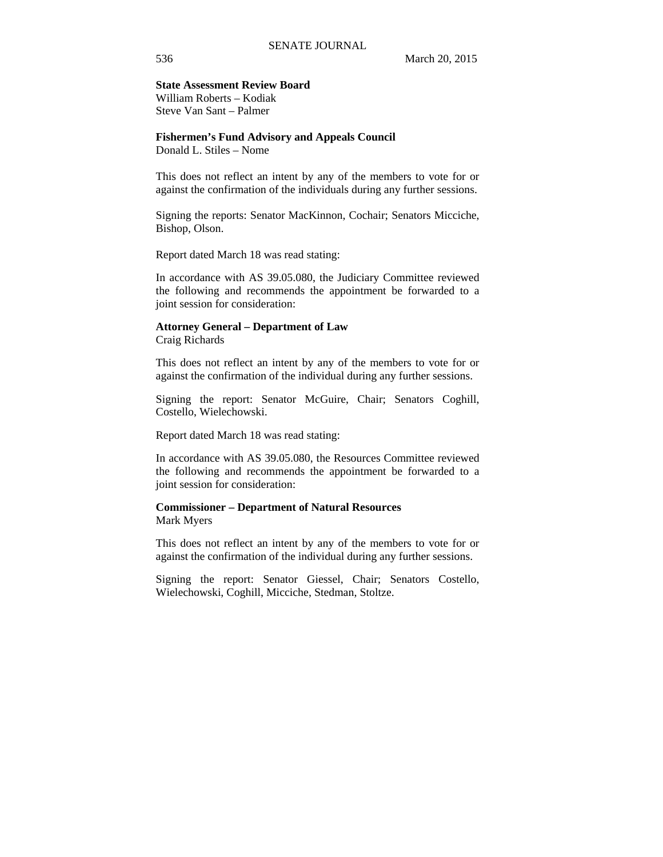#### **State Assessment Review Board**  William Roberts – Kodiak

Steve Van Sant – Palmer

**Fishermen's Fund Advisory and Appeals Council**  Donald L. Stiles – Nome

This does not reflect an intent by any of the members to vote for or against the confirmation of the individuals during any further sessions.

Signing the reports: Senator MacKinnon, Cochair; Senators Micciche, Bishop, Olson.

Report dated March 18 was read stating:

In accordance with AS 39.05.080, the Judiciary Committee reviewed the following and recommends the appointment be forwarded to a joint session for consideration:

### **Attorney General – Department of Law**

Craig Richards

This does not reflect an intent by any of the members to vote for or against the confirmation of the individual during any further sessions.

Signing the report: Senator McGuire, Chair; Senators Coghill, Costello, Wielechowski.

Report dated March 18 was read stating:

In accordance with AS 39.05.080, the Resources Committee reviewed the following and recommends the appointment be forwarded to a joint session for consideration:

### **Commissioner – Department of Natural Resources**  Mark Myers

This does not reflect an intent by any of the members to vote for or against the confirmation of the individual during any further sessions.

Signing the report: Senator Giessel, Chair; Senators Costello, Wielechowski, Coghill, Micciche, Stedman, Stoltze.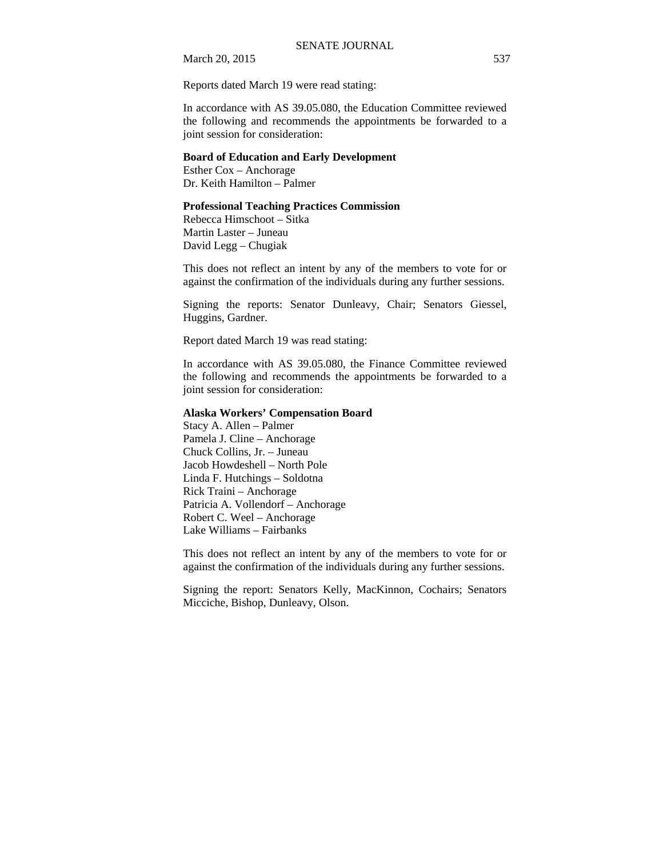March 20, 2015 537

Reports dated March 19 were read stating:

In accordance with AS 39.05.080, the Education Committee reviewed the following and recommends the appointments be forwarded to a joint session for consideration:

### **Board of Education and Early Development**

Esther Cox – Anchorage Dr. Keith Hamilton – Palmer

### **Professional Teaching Practices Commission**

Rebecca Himschoot – Sitka Martin Laster – Juneau David Legg – Chugiak

This does not reflect an intent by any of the members to vote for or against the confirmation of the individuals during any further sessions.

Signing the reports: Senator Dunleavy, Chair; Senators Giessel, Huggins, Gardner.

Report dated March 19 was read stating:

In accordance with AS 39.05.080, the Finance Committee reviewed the following and recommends the appointments be forwarded to a joint session for consideration:

### **Alaska Workers' Compensation Board**

Stacy A. Allen – Palmer Pamela J. Cline – Anchorage Chuck Collins, Jr. – Juneau Jacob Howdeshell – North Pole Linda F. Hutchings – Soldotna Rick Traini – Anchorage Patricia A. Vollendorf – Anchorage Robert C. Weel – Anchorage Lake Williams – Fairbanks

This does not reflect an intent by any of the members to vote for or against the confirmation of the individuals during any further sessions.

Signing the report: Senators Kelly, MacKinnon, Cochairs; Senators Micciche, Bishop, Dunleavy, Olson.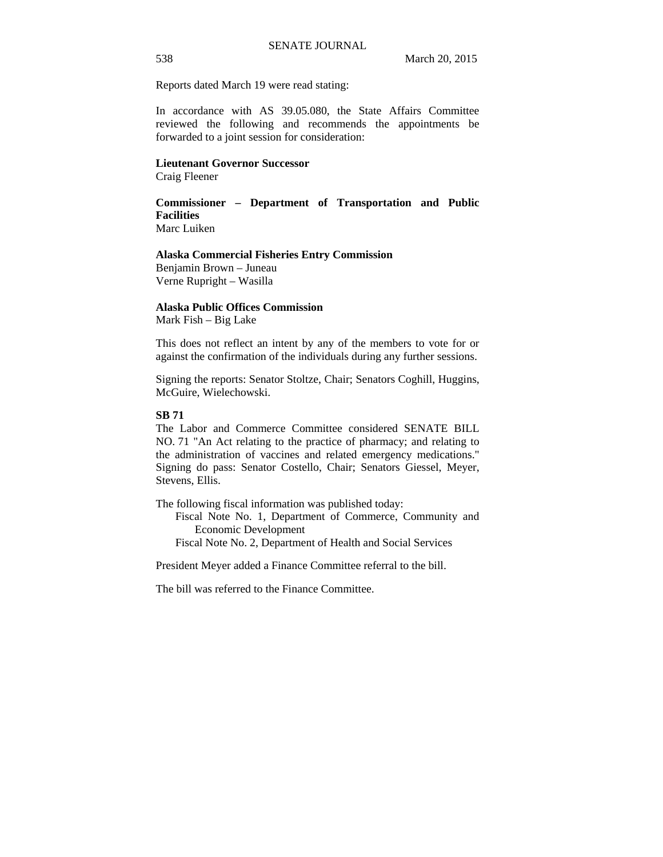Reports dated March 19 were read stating:

In accordance with AS 39.05.080, the State Affairs Committee reviewed the following and recommends the appointments be forwarded to a joint session for consideration:

### **Lieutenant Governor Successor**

Craig Fleener

# **Commissioner – Department of Transportation and Public Facilities**

Marc Luiken

# **Alaska Commercial Fisheries Entry Commission**

Benjamin Brown – Juneau Verne Rupright – Wasilla

### **Alaska Public Offices Commission**

Mark Fish – Big Lake

This does not reflect an intent by any of the members to vote for or against the confirmation of the individuals during any further sessions.

Signing the reports: Senator Stoltze, Chair; Senators Coghill, Huggins, McGuire, Wielechowski.

### **SB 71**

The Labor and Commerce Committee considered SENATE BILL NO. 71 "An Act relating to the practice of pharmacy; and relating to the administration of vaccines and related emergency medications." Signing do pass: Senator Costello, Chair; Senators Giessel, Meyer, Stevens, Ellis.

The following fiscal information was published today:

Fiscal Note No. 1, Department of Commerce, Community and Economic Development

Fiscal Note No. 2, Department of Health and Social Services

President Meyer added a Finance Committee referral to the bill.

The bill was referred to the Finance Committee.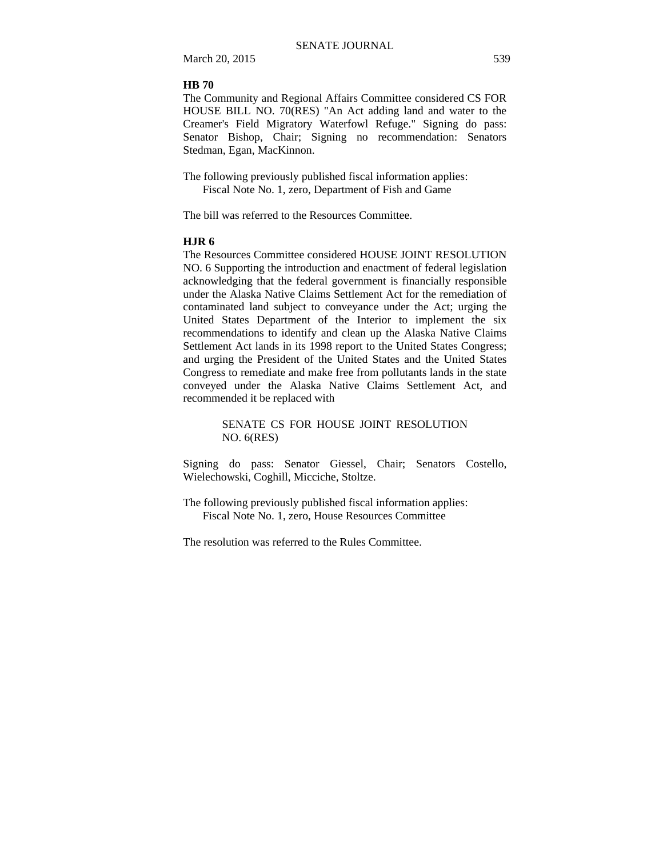March 20, 2015 539

### **HB 70**

The Community and Regional Affairs Committee considered CS FOR HOUSE BILL NO. 70(RES) "An Act adding land and water to the Creamer's Field Migratory Waterfowl Refuge." Signing do pass: Senator Bishop, Chair; Signing no recommendation: Senators Stedman, Egan, MacKinnon.

The following previously published fiscal information applies: Fiscal Note No. 1, zero, Department of Fish and Game

The bill was referred to the Resources Committee.

### **HJR 6**

The Resources Committee considered HOUSE JOINT RESOLUTION NO. 6 Supporting the introduction and enactment of federal legislation acknowledging that the federal government is financially responsible under the Alaska Native Claims Settlement Act for the remediation of contaminated land subject to conveyance under the Act; urging the United States Department of the Interior to implement the six recommendations to identify and clean up the Alaska Native Claims Settlement Act lands in its 1998 report to the United States Congress; and urging the President of the United States and the United States Congress to remediate and make free from pollutants lands in the state conveyed under the Alaska Native Claims Settlement Act, and recommended it be replaced with

> SENATE CS FOR HOUSE JOINT RESOLUTION NO. 6(RES)

Signing do pass: Senator Giessel, Chair; Senators Costello, Wielechowski, Coghill, Micciche, Stoltze.

The following previously published fiscal information applies: Fiscal Note No. 1, zero, House Resources Committee

The resolution was referred to the Rules Committee.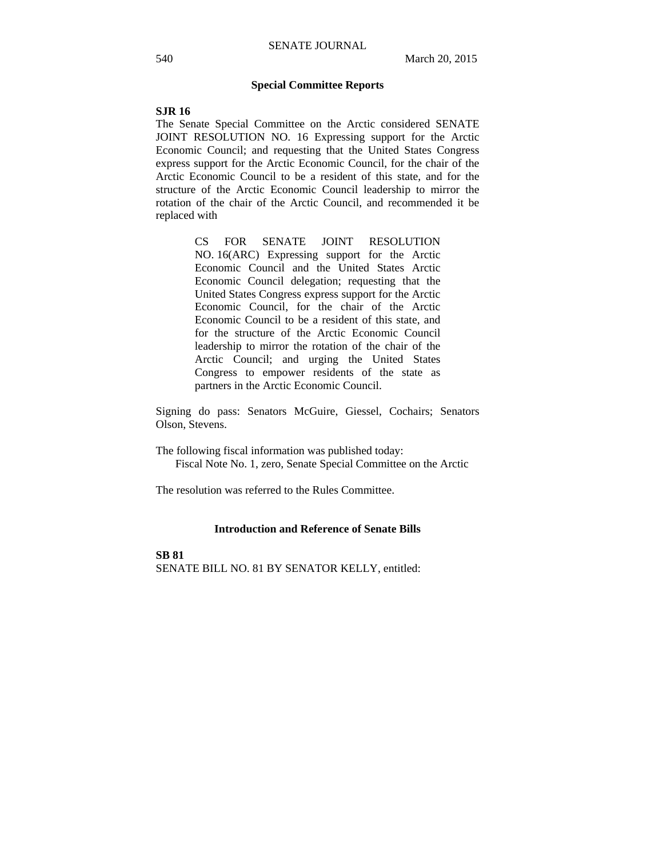### **Special Committee Reports**

### **SJR 16**

The Senate Special Committee on the Arctic considered SENATE JOINT RESOLUTION NO. 16 Expressing support for the Arctic Economic Council; and requesting that the United States Congress express support for the Arctic Economic Council, for the chair of the Arctic Economic Council to be a resident of this state, and for the structure of the Arctic Economic Council leadership to mirror the rotation of the chair of the Arctic Council, and recommended it be replaced with

> CS FOR SENATE JOINT RESOLUTION NO. 16(ARC) Expressing support for the Arctic Economic Council and the United States Arctic Economic Council delegation; requesting that the United States Congress express support for the Arctic Economic Council, for the chair of the Arctic Economic Council to be a resident of this state, and for the structure of the Arctic Economic Council leadership to mirror the rotation of the chair of the Arctic Council; and urging the United States Congress to empower residents of the state as partners in the Arctic Economic Council.

Signing do pass: Senators McGuire, Giessel, Cochairs; Senators Olson, Stevens.

The following fiscal information was published today: Fiscal Note No. 1, zero, Senate Special Committee on the Arctic

The resolution was referred to the Rules Committee.

### **Introduction and Reference of Senate Bills**

**SB 81**

SENATE BILL NO. 81 BY SENATOR KELLY, entitled: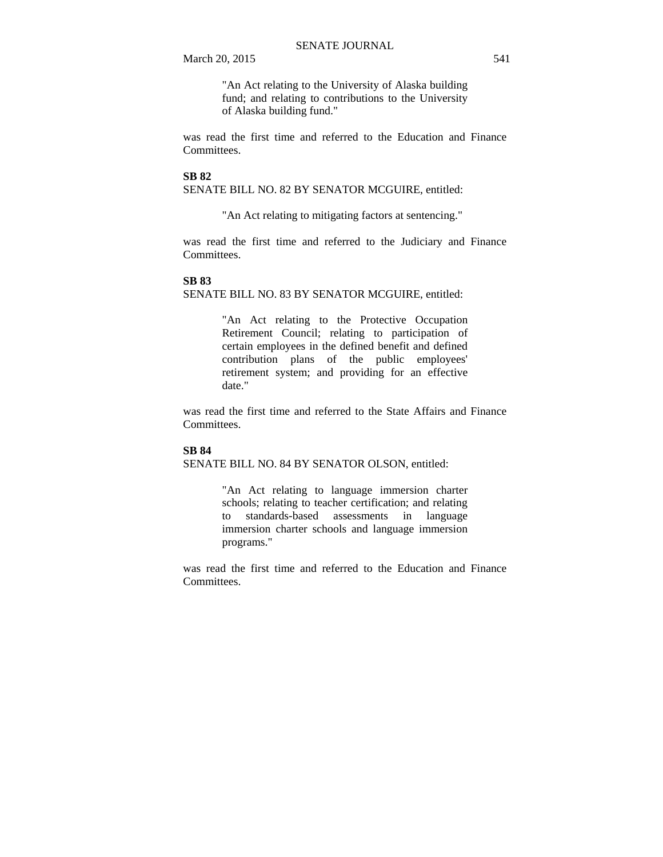"An Act relating to the University of Alaska building fund; and relating to contributions to the University of Alaska building fund."

was read the first time and referred to the Education and Finance Committees.

### **SB 82**

SENATE BILL NO. 82 BY SENATOR MCGUIRE, entitled:

"An Act relating to mitigating factors at sentencing."

was read the first time and referred to the Judiciary and Finance Committees.

### **SB 83**

SENATE BILL NO. 83 BY SENATOR MCGUIRE, entitled:

"An Act relating to the Protective Occupation Retirement Council; relating to participation of certain employees in the defined benefit and defined contribution plans of the public employees' retirement system; and providing for an effective date."

was read the first time and referred to the State Affairs and Finance Committees.

### **SB 84**

SENATE BILL NO. 84 BY SENATOR OLSON, entitled:

"An Act relating to language immersion charter schools; relating to teacher certification; and relating to standards-based assessments in language immersion charter schools and language immersion programs."

was read the first time and referred to the Education and Finance Committees.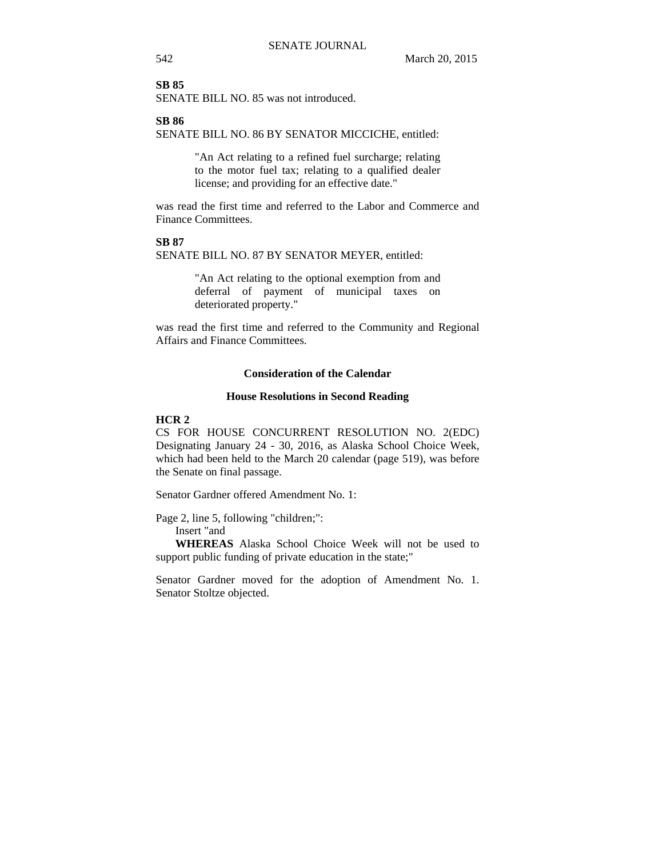### **SB 85**

SENATE BILL NO. 85 was not introduced.

#### **SB 86**

SENATE BILL NO. 86 BY SENATOR MICCICHE, entitled:

"An Act relating to a refined fuel surcharge; relating to the motor fuel tax; relating to a qualified dealer license; and providing for an effective date."

was read the first time and referred to the Labor and Commerce and Finance Committees.

### **SB 87**

SENATE BILL NO. 87 BY SENATOR MEYER, entitled:

"An Act relating to the optional exemption from and deferral of payment of municipal taxes on deteriorated property."

was read the first time and referred to the Community and Regional Affairs and Finance Committees.

### **Consideration of the Calendar**

#### **House Resolutions in Second Reading**

#### **HCR 2**

CS FOR HOUSE CONCURRENT RESOLUTION NO. 2(EDC) Designating January 24 - 30, 2016, as Alaska School Choice Week, which had been held to the March 20 calendar (page 519), was before the Senate on final passage.

Senator Gardner offered Amendment No. 1:

Page 2, line 5, following "children;":

Insert "and

**WHEREAS** Alaska School Choice Week will not be used to support public funding of private education in the state;"

Senator Gardner moved for the adoption of Amendment No. 1. Senator Stoltze objected.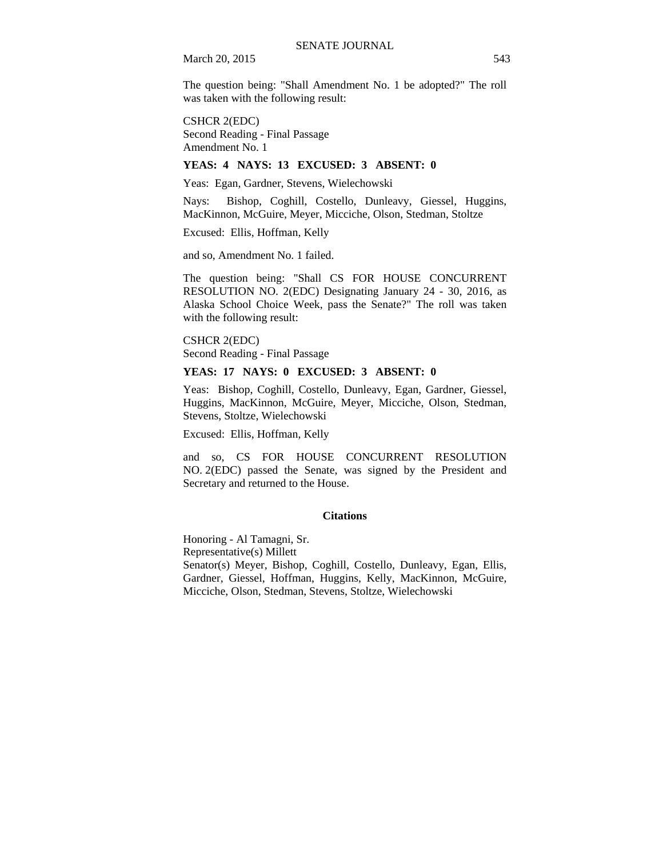March 20, 2015 543

The question being: "Shall Amendment No. 1 be adopted?" The roll was taken with the following result:

CSHCR 2(EDC) Second Reading - Final Passage Amendment No. 1

### **YEAS: 4 NAYS: 13 EXCUSED: 3 ABSENT: 0**

Yeas: Egan, Gardner, Stevens, Wielechowski

Nays: Bishop, Coghill, Costello, Dunleavy, Giessel, Huggins, MacKinnon, McGuire, Meyer, Micciche, Olson, Stedman, Stoltze

Excused: Ellis, Hoffman, Kelly

and so, Amendment No. 1 failed.

The question being: "Shall CS FOR HOUSE CONCURRENT RESOLUTION NO. 2(EDC) Designating January 24 - 30, 2016, as Alaska School Choice Week, pass the Senate?" The roll was taken with the following result:

CSHCR 2(EDC) Second Reading - Final Passage

### **YEAS: 17 NAYS: 0 EXCUSED: 3 ABSENT: 0**

Yeas: Bishop, Coghill, Costello, Dunleavy, Egan, Gardner, Giessel, Huggins, MacKinnon, McGuire, Meyer, Micciche, Olson, Stedman, Stevens, Stoltze, Wielechowski

Excused: Ellis, Hoffman, Kelly

and so, CS FOR HOUSE CONCURRENT RESOLUTION NO. 2(EDC) passed the Senate, was signed by the President and Secretary and returned to the House.

### **Citations**

Honoring - Al Tamagni, Sr. Representative(s) Millett Senator(s) Meyer, Bishop, Coghill, Costello, Dunleavy, Egan, Ellis, Gardner, Giessel, Hoffman, Huggins, Kelly, MacKinnon, McGuire, Micciche, Olson, Stedman, Stevens, Stoltze, Wielechowski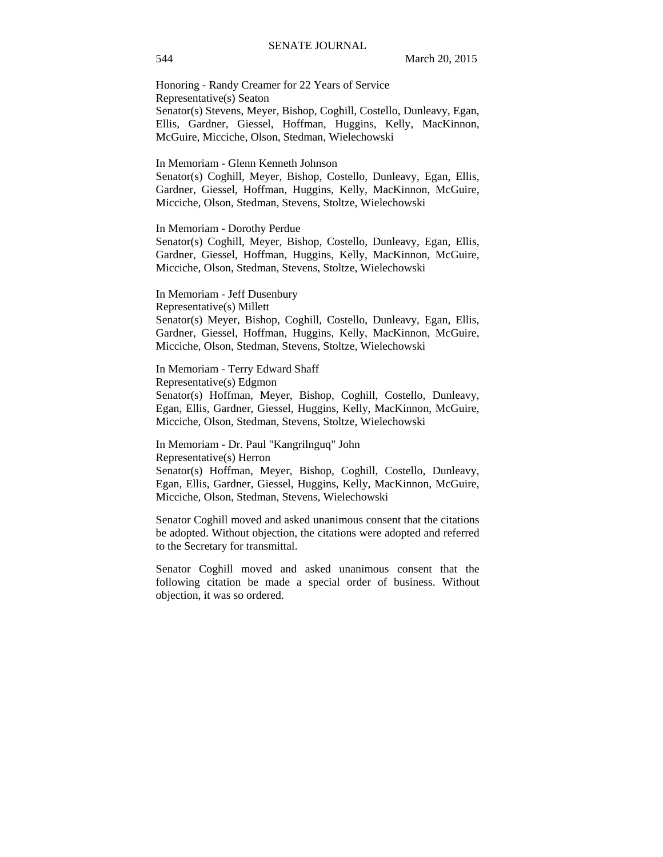Honoring - Randy Creamer for 22 Years of Service Representative(s) Seaton Senator(s) Stevens, Meyer, Bishop, Coghill, Costello, Dunleavy, Egan, Ellis, Gardner, Giessel, Hoffman, Huggins, Kelly, MacKinnon, McGuire, Micciche, Olson, Stedman, Wielechowski

In Memoriam - Glenn Kenneth Johnson

Senator(s) Coghill, Meyer, Bishop, Costello, Dunleavy, Egan, Ellis, Gardner, Giessel, Hoffman, Huggins, Kelly, MacKinnon, McGuire, Micciche, Olson, Stedman, Stevens, Stoltze, Wielechowski

#### In Memoriam - Dorothy Perdue

Senator(s) Coghill, Meyer, Bishop, Costello, Dunleavy, Egan, Ellis, Gardner, Giessel, Hoffman, Huggins, Kelly, MacKinnon, McGuire, Micciche, Olson, Stedman, Stevens, Stoltze, Wielechowski

In Memoriam - Jeff Dusenbury Representative(s) Millett Senator(s) Meyer, Bishop, Coghill, Costello, Dunleavy, Egan, Ellis, Gardner, Giessel, Hoffman, Huggins, Kelly, MacKinnon, McGuire, Micciche, Olson, Stedman, Stevens, Stoltze, Wielechowski

In Memoriam - Terry Edward Shaff Representative(s) Edgmon Senator(s) Hoffman, Meyer, Bishop, Coghill, Costello, Dunleavy, Egan, Ellis, Gardner, Giessel, Huggins, Kelly, MacKinnon, McGuire, Micciche, Olson, Stedman, Stevens, Stoltze, Wielechowski

In Memoriam - Dr. Paul "Kangrilnguq" John Representative(s) Herron Senator(s) Hoffman, Meyer, Bishop, Coghill, Costello, Dunleavy, Egan, Ellis, Gardner, Giessel, Huggins, Kelly, MacKinnon, McGuire, Micciche, Olson, Stedman, Stevens, Wielechowski

Senator Coghill moved and asked unanimous consent that the citations be adopted. Without objection, the citations were adopted and referred to the Secretary for transmittal.

Senator Coghill moved and asked unanimous consent that the following citation be made a special order of business. Without objection, it was so ordered.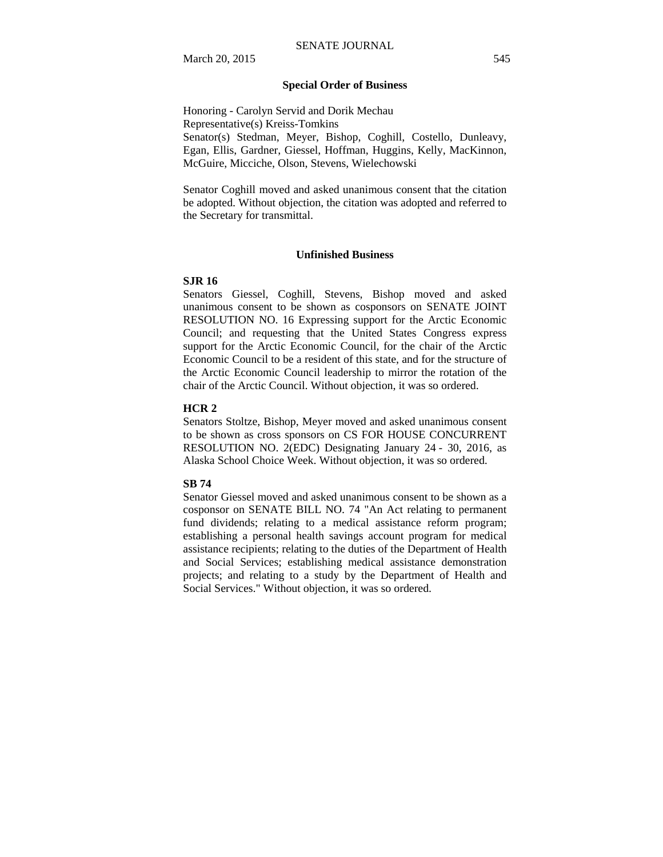### **Special Order of Business**

Honoring - Carolyn Servid and Dorik Mechau Representative(s) Kreiss-Tomkins Senator(s) Stedman, Meyer, Bishop, Coghill, Costello, Dunleavy, Egan, Ellis, Gardner, Giessel, Hoffman, Huggins, Kelly, MacKinnon, McGuire, Micciche, Olson, Stevens, Wielechowski

Senator Coghill moved and asked unanimous consent that the citation be adopted. Without objection, the citation was adopted and referred to the Secretary for transmittal.

### **Unfinished Business**

#### **SJR 16**

Senators Giessel, Coghill, Stevens, Bishop moved and asked unanimous consent to be shown as cosponsors on SENATE JOINT RESOLUTION NO. 16 Expressing support for the Arctic Economic Council; and requesting that the United States Congress express support for the Arctic Economic Council, for the chair of the Arctic Economic Council to be a resident of this state, and for the structure of the Arctic Economic Council leadership to mirror the rotation of the chair of the Arctic Council. Without objection, it was so ordered.

#### **HCR 2**

Senators Stoltze, Bishop, Meyer moved and asked unanimous consent to be shown as cross sponsors on CS FOR HOUSE CONCURRENT RESOLUTION NO. 2(EDC) Designating January 24 - 30, 2016, as Alaska School Choice Week. Without objection, it was so ordered.

### **SB 74**

Senator Giessel moved and asked unanimous consent to be shown as a cosponsor on SENATE BILL NO. 74 "An Act relating to permanent fund dividends; relating to a medical assistance reform program; establishing a personal health savings account program for medical assistance recipients; relating to the duties of the Department of Health and Social Services; establishing medical assistance demonstration projects; and relating to a study by the Department of Health and Social Services." Without objection, it was so ordered.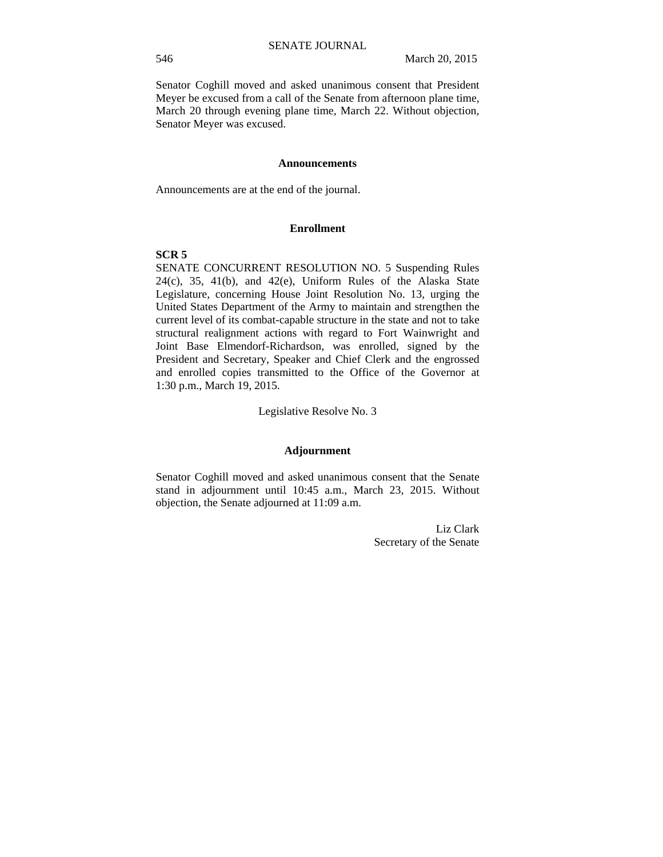Senator Coghill moved and asked unanimous consent that President Meyer be excused from a call of the Senate from afternoon plane time, March 20 through evening plane time, March 22. Without objection, Senator Meyer was excused.

#### **Announcements**

Announcements are at the end of the journal.

### **Enrollment**

### **SCR 5**

SENATE CONCURRENT RESOLUTION NO. 5 Suspending Rules  $24(c)$ ,  $35$ ,  $41(b)$ , and  $42(e)$ , Uniform Rules of the Alaska State Legislature, concerning House Joint Resolution No. 13, urging the United States Department of the Army to maintain and strengthen the current level of its combat-capable structure in the state and not to take structural realignment actions with regard to Fort Wainwright and Joint Base Elmendorf-Richardson, was enrolled, signed by the President and Secretary, Speaker and Chief Clerk and the engrossed and enrolled copies transmitted to the Office of the Governor at 1:30 p.m., March 19, 2015.

Legislative Resolve No. 3

#### **Adjournment**

Senator Coghill moved and asked unanimous consent that the Senate stand in adjournment until 10:45 a.m., March 23, 2015. Without objection, the Senate adjourned at 11:09 a.m.

> Liz Clark Secretary of the Senate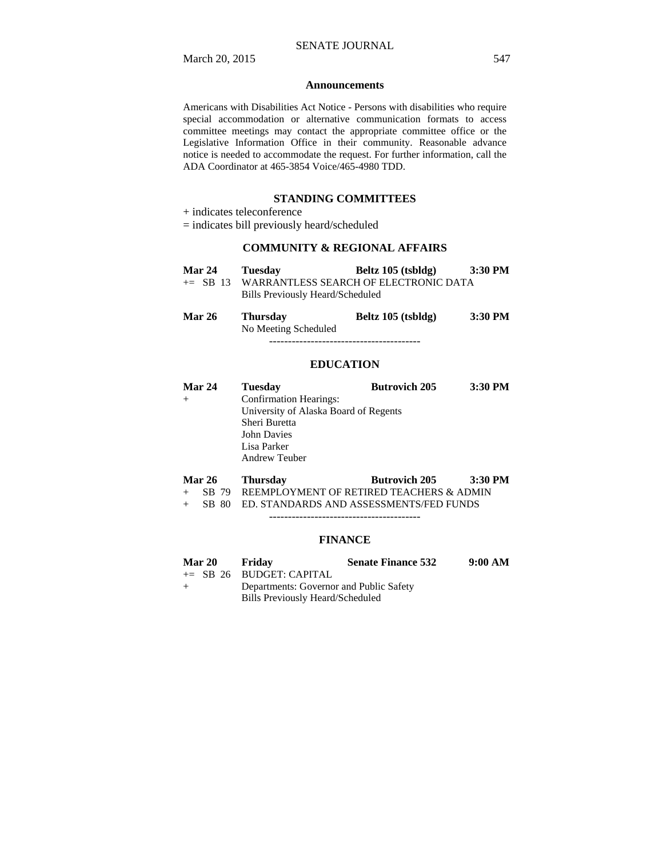#### **Announcements**

Americans with Disabilities Act Notice - Persons with disabilities who require special accommodation or alternative communication formats to access committee meetings may contact the appropriate committee office or the Legislative Information Office in their community. Reasonable advance notice is needed to accommodate the request. For further information, call the ADA Coordinator at 465-3854 Voice/465-4980 TDD.

# **STANDING COMMITTEES**

+ indicates teleconference

= indicates bill previously heard/scheduled

### **COMMUNITY & REGIONAL AFFAIRS**

| <b>Mar 24</b> | Tuesday                          | Beltz $105$ (tsbldg)                  | $3:30$ PM          |
|---------------|----------------------------------|---------------------------------------|--------------------|
| $\pm$ SB 13   | Bills Previously Heard/Scheduled | WARRANTLESS SEARCH OF ELECTRONIC DATA |                    |
| $M = 0$       |                                  | $D - L = 10E$ (i.e. 1.1.1.)           | $2.20 \text{ m/s}$ |

**Mar 26 Thursday Beltz 105 (tsbldg) 3:30 PM**  No Meeting Scheduled ----------------------------------------

**EDUCATION**

| Mar 24 | <b>Tuesday</b>                        | <b>Butrovich 205</b> | 3:30 PM |  |
|--------|---------------------------------------|----------------------|---------|--|
|        | <b>Confirmation Hearings:</b>         |                      |         |  |
|        | University of Alaska Board of Regents |                      |         |  |
|        | Sheri Buretta                         |                      |         |  |
|        | <b>John Davies</b>                    |                      |         |  |
|        | Lisa Parker                           |                      |         |  |
|        | <b>Andrew Teuber</b>                  |                      |         |  |
|        |                                       |                      |         |  |

# **Mar 26 Thursday Butrovich 205 3:30 PM**

+ SB 79 REEMPLOYMENT OF RETIRED TEACHERS & ADMIN + SB 80 ED. STANDARDS AND ASSESSMENTS/FED FUNDS

----------------------------------------

### **FINANCE**

| <b>Mar 20</b> | Fridav                                  | <b>Senate Finance 532</b> | 9:00 AM |
|---------------|-----------------------------------------|---------------------------|---------|
|               | $\pm$ SB 26 BUDGET: CAPITAL             |                           |         |
| $+$           | Departments: Governor and Public Safety |                           |         |
|               | Bills Previously Heard/Scheduled        |                           |         |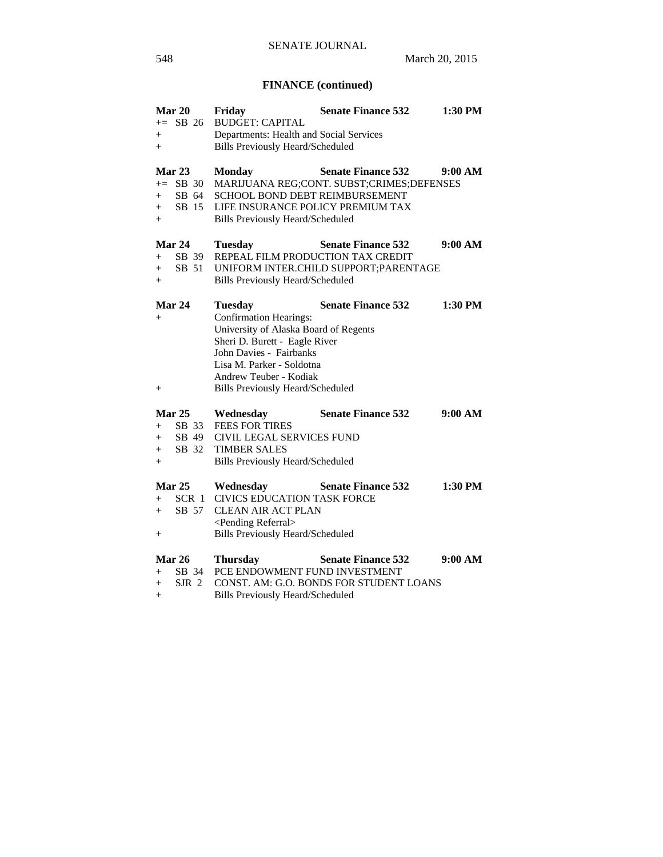# **FINANCE (continued)**

|        | Mar 20        | Friday                                  | <b>Senate Finance 532</b>                 | 1:30 PM |
|--------|---------------|-----------------------------------------|-------------------------------------------|---------|
|        | $+=$ SB 26    | <b>BUDGET: CAPITAL</b>                  |                                           |         |
| $^{+}$ |               | Departments: Health and Social Services |                                           |         |
| $^{+}$ |               | <b>Bills Previously Heard/Scheduled</b> |                                           |         |
|        | <b>Mar 23</b> | <b>Monday</b>                           | <b>Senate Finance 532</b>                 | 9:00 AM |
|        | $+=$ SB 30    |                                         | MARIJUANA REG;CONT. SUBST;CRIMES;DEFENSES |         |
| $+$    | SB 64         | SCHOOL BOND DEBT REIMBURSEMENT          |                                           |         |
| $+$    | SB 15         | LIFE INSURANCE POLICY PREMIUM TAX       |                                           |         |
| $+$    |               | <b>Bills Previously Heard/Scheduled</b> |                                           |         |
|        | Mar 24        | <b>Tuesday</b>                          | <b>Senate Finance 532</b>                 | 9:00 AM |
| $+$    | SB 39         | REPEAL FILM PRODUCTION TAX CREDIT       |                                           |         |
| $+$    | SB 51         |                                         | UNIFORM INTER.CHILD SUPPORT; PARENTAGE    |         |
| $+$    |               | <b>Bills Previously Heard/Scheduled</b> |                                           |         |
|        | Mar 24        | <b>Tuesday</b>                          | <b>Senate Finance 532</b>                 | 1:30 PM |
| $^{+}$ |               | <b>Confirmation Hearings:</b>           |                                           |         |
|        |               | University of Alaska Board of Regents   |                                           |         |
|        |               | Sheri D. Burett - Eagle River           |                                           |         |
|        |               | John Davies - Fairbanks                 |                                           |         |
|        |               | Lisa M. Parker - Soldotna               |                                           |         |
|        |               | Andrew Teuber - Kodiak                  |                                           |         |
| $^{+}$ |               | <b>Bills Previously Heard/Scheduled</b> |                                           |         |
|        | Mar $25$      | Wednesday                               | <b>Senate Finance 532</b>                 | 9:00 AM |
| $+$    | SB 33         | <b>FEES FOR TIRES</b>                   |                                           |         |
| $+$    | SB 49         | <b>CIVIL LEGAL SERVICES FUND</b>        |                                           |         |
| $+$    | SB 32         | <b>TIMBER SALES</b>                     |                                           |         |
| $+$    |               | <b>Bills Previously Heard/Scheduled</b> |                                           |         |
|        | <b>Mar 25</b> | Wednesday                               | <b>Senate Finance 532</b>                 | 1:30 PM |
| $+$    | SCR 1         | CIVICS EDUCATION TASK FORCE             |                                           |         |
| $+$    | SB 57         | <b>CLEAN AIR ACT PLAN</b>               |                                           |         |
|        |               | <pending referral=""></pending>         |                                           |         |
| $^{+}$ |               | <b>Bills Previously Heard/Scheduled</b> |                                           |         |
|        | Mar 26        | <b>Thursday</b>                         | <b>Senate Finance 532</b>                 | 9:00 AM |
| $+$    | SB 34         | PCE ENDOWMENT FUND INVESTMENT           |                                           |         |
| $+$    | SJR 2         |                                         | CONST. AM: G.O. BONDS FOR STUDENT LOANS   |         |
| $+$    |               | <b>Bills Previously Heard/Scheduled</b> |                                           |         |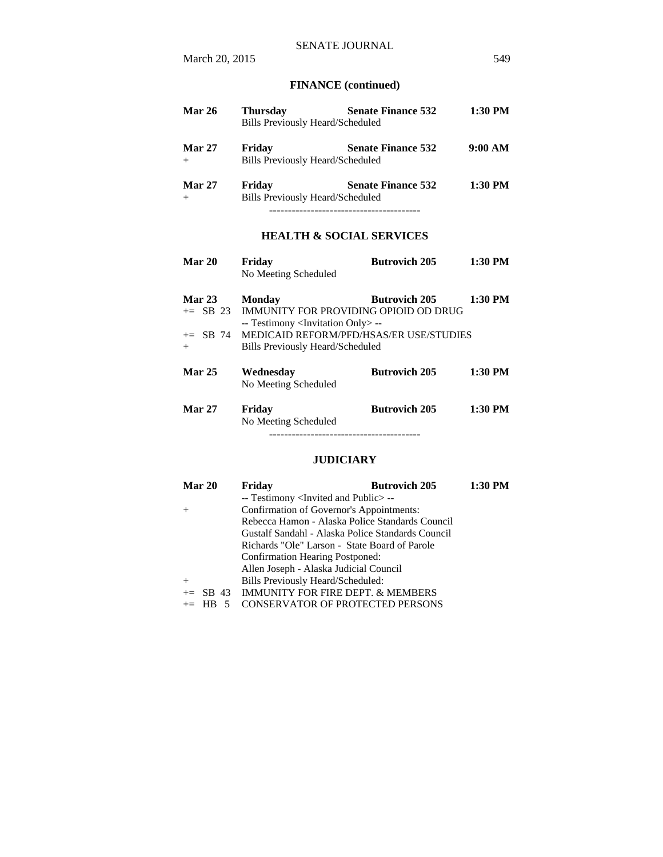# **FINANCE (continued)**

| <b>Mar 26</b> | <b>Thursday</b>                         | <b>Senate Finance 532</b> | 1:30 PM   |
|---------------|-----------------------------------------|---------------------------|-----------|
|               | <b>Bills Previously Heard/Scheduled</b> |                           |           |
| <b>Mar 27</b> | Friday                                  | <b>Senate Finance 532</b> | 9:00 AM   |
| $+$           | <b>Bills Previously Heard/Scheduled</b> |                           |           |
| <b>Mar 27</b> | Friday                                  | <b>Senate Finance 532</b> | $1:30$ PM |
| $^{+}$        | Bills Previously Heard/Scheduled        |                           |           |
|               |                                         |                           |           |

# **HEALTH & SOCIAL SERVICES**

| <b>Mar 20</b>           | Friday<br>No Meeting Scheduled | <b>Butrovich 205</b> | $1:30$ PM |
|-------------------------|--------------------------------|----------------------|-----------|
| $\operatorname{Mar} 23$ | Monday                         | <b>Rutrovich 205</b> | 1.30 PM   |

| Mar $23$      | Monday                                              | BULFOVICH ZUS        | 11.30 F.VI |
|---------------|-----------------------------------------------------|----------------------|------------|
|               | $+=$ SB 23 IMMUNITY FOR PROVIDING OPIOID OD DRUG    |                      |            |
|               | -- Testimony <invitation only=""> --</invitation>   |                      |            |
|               | $\pm$ SB 74 MEDICAID REFORM/PFD/HSAS/ER USE/STUDIES |                      |            |
| $+$           | Bills Previously Heard/Scheduled                    |                      |            |
|               |                                                     |                      |            |
| <b>Mar 25</b> | Wednesdav                                           | <b>Butrovich 205</b> | 1:30 PM    |
|               | No Meeting Scheduled                                |                      |            |
| <b>Mar 27</b> | Friday                                              | <b>Butrovich 205</b> | 1:30 PM    |
|               | No Meeting Scheduled                                |                      |            |
|               |                                                     |                      |            |

### **JUDICIARY**

| Mar 20  | <b>Butrovich 205</b><br>Friday                      | 1:30 PM |
|---------|-----------------------------------------------------|---------|
|         | -- Testimony <invited and="" public="">--</invited> |         |
| $^{+}$  | Confirmation of Governor's Appointments:            |         |
|         | Rebecca Hamon - Alaska Police Standards Council     |         |
|         | Gustalf Sandahl - Alaska Police Standards Council   |         |
|         | Richards "Ole" Larson - State Board of Parole       |         |
|         | <b>Confirmation Hearing Postponed:</b>              |         |
|         | Allen Joseph - Alaska Judicial Council              |         |
| $^{+}$  | Bills Previously Heard/Scheduled:                   |         |
|         | $+=$ SB 43 IMMUNITY FOR FIRE DEPT. & MEMBERS        |         |
| $+=$ HB | <b>CONSERVATOR OF PROTECTED PERSONS</b>             |         |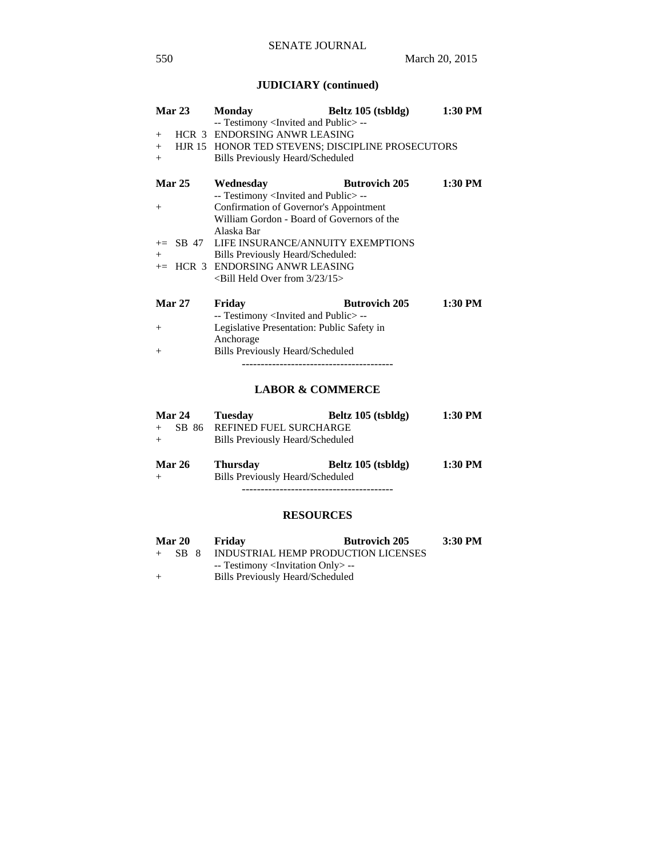# **JUDICIARY (continued)**

| Mar 23        | <b>Monday</b>                                        | Beltz 105 (tsbldg)   | 1:30 PM |
|---------------|------------------------------------------------------|----------------------|---------|
|               | -- Testimony <invited and="" public=""> --</invited> |                      |         |
| $+$           | HCR 3 ENDORSING ANWR LEASING                         |                      |         |
| $+$           | HJR 15 HONOR TED STEVENS; DISCIPLINE PROSECUTORS     |                      |         |
| $+$           | <b>Bills Previously Heard/Scheduled</b>              |                      |         |
| <b>Mar 25</b> | Wednesday                                            | <b>Butrovich 205</b> | 1:30 PM |
|               | -- Testimony <invited and="" public="">--</invited>  |                      |         |
| $+$           | Confirmation of Governor's Appointment               |                      |         |
|               | William Gordon - Board of Governors of the           |                      |         |
|               | Alaska Bar                                           |                      |         |
|               | $\pm$ SB 47 LIFE INSURANCE/ANNUITY EXEMPTIONS        |                      |         |
| $+$           | Bills Previously Heard/Scheduled:                    |                      |         |
|               | $+=$ HCR 3 ENDORSING ANWR LEASING                    |                      |         |
|               | $\le$ Bill Held Over from 3/23/15 $>$                |                      |         |
| <b>Mar 27</b> | Friday                                               | <b>Butrovich 205</b> | 1:30 PM |
|               | -- Testimony <invited and="" public="">--</invited>  |                      |         |
| $^{+}$        | Legislative Presentation: Public Safety in           |                      |         |
|               | Anchorage                                            |                      |         |

# + Bills Previously Heard/Scheduled ----------------------------------------

### **LABOR & COMMERCE**

| <b>Mar 24</b> | Tuesday                                 | Beltz 105 (tsbldg) | 1:30 PM |
|---------------|-----------------------------------------|--------------------|---------|
| SB 86         | <b>REFINED FUEL SURCHARGE</b>           |                    |         |
| $+$           | Bills Previously Heard/Scheduled        |                    |         |
|               |                                         |                    |         |
| <b>Mar 26</b> | <b>Thursday</b>                         | Beltz 105 (tsbldg) | 1:30 PM |
|               | <b>Bills Previously Heard/Scheduled</b> |                    |         |
|               |                                         |                    |         |

# **RESOURCES**

| <b>Mar 20</b> |  | Friday                                            | <b>Butrovich 205</b> | 3:30 PM |
|---------------|--|---------------------------------------------------|----------------------|---------|
| $+$ SB 8      |  | INDUSTRIAL HEMP PRODUCTION LICENSES               |                      |         |
|               |  | -- Testimony <invitation only=""> --</invitation> |                      |         |
| $+$           |  | Bills Previously Heard/Scheduled                  |                      |         |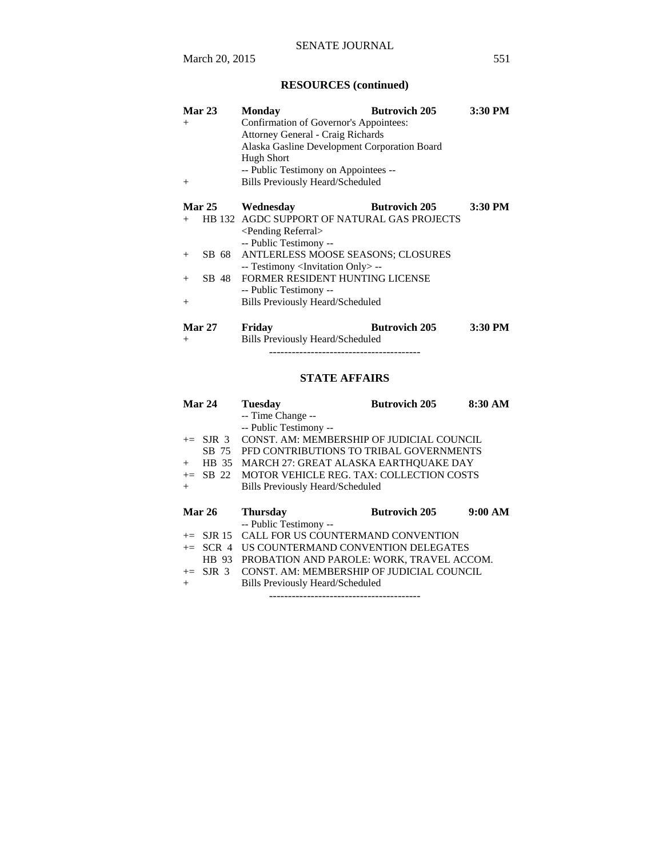# **RESOURCES (continued)**

| <b>Monday</b>                   | <b>Butrovich 205</b> | 3:30 PM                                                                                                                                                                                                                                                                                                                                                                                                                                                                        |
|---------------------------------|----------------------|--------------------------------------------------------------------------------------------------------------------------------------------------------------------------------------------------------------------------------------------------------------------------------------------------------------------------------------------------------------------------------------------------------------------------------------------------------------------------------|
|                                 |                      |                                                                                                                                                                                                                                                                                                                                                                                                                                                                                |
|                                 |                      |                                                                                                                                                                                                                                                                                                                                                                                                                                                                                |
|                                 |                      |                                                                                                                                                                                                                                                                                                                                                                                                                                                                                |
| <b>Hugh Short</b>               |                      |                                                                                                                                                                                                                                                                                                                                                                                                                                                                                |
|                                 |                      |                                                                                                                                                                                                                                                                                                                                                                                                                                                                                |
|                                 |                      |                                                                                                                                                                                                                                                                                                                                                                                                                                                                                |
|                                 |                      |                                                                                                                                                                                                                                                                                                                                                                                                                                                                                |
| Wednesdav                       | <b>Butrovich 205</b> | 3:30 PM                                                                                                                                                                                                                                                                                                                                                                                                                                                                        |
|                                 |                      |                                                                                                                                                                                                                                                                                                                                                                                                                                                                                |
| <pending referral=""></pending> |                      |                                                                                                                                                                                                                                                                                                                                                                                                                                                                                |
| -- Public Testimony --          |                      |                                                                                                                                                                                                                                                                                                                                                                                                                                                                                |
|                                 |                      |                                                                                                                                                                                                                                                                                                                                                                                                                                                                                |
|                                 |                      |                                                                                                                                                                                                                                                                                                                                                                                                                                                                                |
|                                 |                      |                                                                                                                                                                                                                                                                                                                                                                                                                                                                                |
| -- Public Testimony --          |                      |                                                                                                                                                                                                                                                                                                                                                                                                                                                                                |
|                                 |                      |                                                                                                                                                                                                                                                                                                                                                                                                                                                                                |
|                                 |                      | 3:30 PM                                                                                                                                                                                                                                                                                                                                                                                                                                                                        |
|                                 | Fridav               | Confirmation of Governor's Appointees:<br><b>Attorney General - Craig Richards</b><br>Alaska Gasline Development Corporation Board<br>-- Public Testimony on Appointees --<br><b>Bills Previously Heard/Scheduled</b><br>HB 132 AGDC SUPPORT OF NATURAL GAS PROJECTS<br>SB 68 ANTLERLESS MOOSE SEASONS; CLOSURES<br>-- Testimony <invitation only=""> --<br/>FORMER RESIDENT HUNTING LICENSE<br/><b>Bills Previously Heard/Scheduled</b><br/><b>Butrovich 205</b></invitation> |

+ Bills Previously Heard/Scheduled

# ----------------------------------------

# **STATE AFFAIRS**

| Mar 24                   | <b>Tuesday</b>                            | <b>Butrovich 205</b> | 8:30 AM |
|--------------------------|-------------------------------------------|----------------------|---------|
|                          | -- Time Change --                         |                      |         |
|                          | -- Public Testimony --                    |                      |         |
| $\pm$ SJR 3              | CONST. AM: MEMBERSHIP OF JUDICIAL COUNCIL |                      |         |
| SB 75                    | PFD CONTRIBUTIONS TO TRIBAL GOVERNMENTS   |                      |         |
| HB 35<br>$^{+}$          | MARCH 27: GREAT ALASKA EARTHQUAKE DAY     |                      |         |
| $+=$ SB 22               | MOTOR VEHICLE REG. TAX: COLLECTION COSTS  |                      |         |
| $^{+}$                   | Bills Previously Heard/Scheduled          |                      |         |
|                          |                                           |                      |         |
|                          |                                           |                      |         |
| <b>Mar 26</b>            | <b>Thursday</b>                           | <b>Butrovich 205</b> | 9:00 AM |
|                          | -- Public Testimony --                    |                      |         |
| $\epsilon =$ SJR 15      | CALL FOR US COUNTERMAND CONVENTION        |                      |         |
| SCR <sub>4</sub><br>$+=$ | US COUNTERMAND CONVENTION DELEGATES       |                      |         |
| HB 93                    | PROBATION AND PAROLE: WORK, TRAVEL ACCOM. |                      |         |
| $+=$ SJR 3               | CONST. AM: MEMBERSHIP OF JUDICIAL COUNCIL |                      |         |

----------------------------------------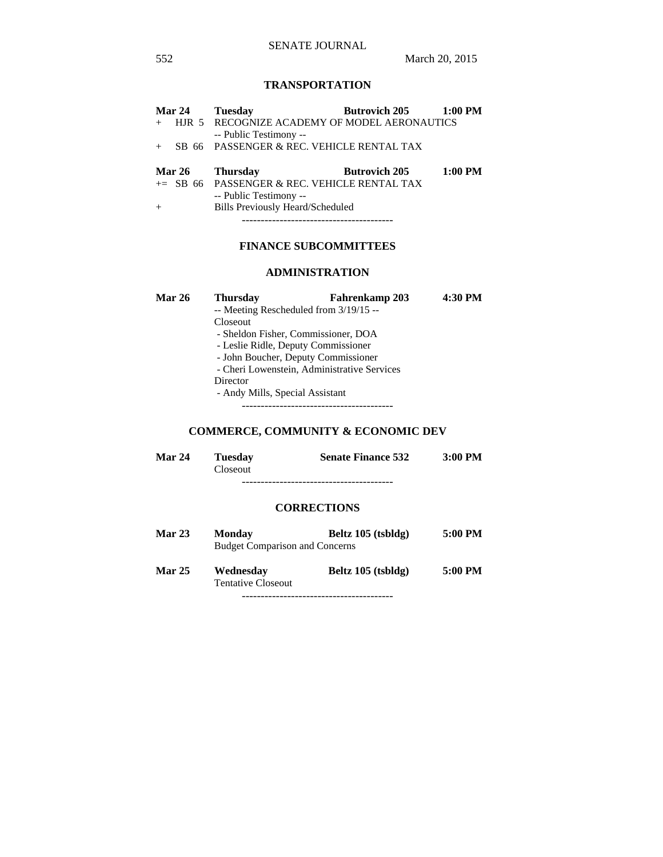# **TRANSPORTATION**

|     | Mar 24        | <b>Tuesday</b>                                                           | <b>Butrovich 205</b> | $1:00$ PM |
|-----|---------------|--------------------------------------------------------------------------|----------------------|-----------|
| $+$ |               | HJR 5 RECOGNIZE ACADEMY OF MODEL AERONAUTICS<br>-- Public Testimony --   |                      |           |
| $+$ |               | SB 66 PASSENGER & REC. VEHICLE RENTAL TAX                                |                      |           |
|     |               |                                                                          |                      |           |
|     | <b>Mar 26</b> | <b>Thursday</b>                                                          | <b>Butrovich 205</b> | $1:00$ PM |
|     |               | $+=$ SB 66 PASSENGER & REC. VEHICLE RENTAL TAX<br>-- Public Testimony -- |                      |           |
| $+$ |               | <b>Bills Previously Heard/Scheduled</b>                                  |                      |           |

# **FINANCE SUBCOMMITTEES**

### **ADMINISTRATION**

| <b>Mar 26</b> | <b>Thursday</b>                             | Fahrenkamp 203<br>-- Meeting Rescheduled from 3/19/15 -- | 4:30 PM |
|---------------|---------------------------------------------|----------------------------------------------------------|---------|
|               | <b>Closeout</b>                             |                                                          |         |
|               |                                             | - Sheldon Fisher, Commissioner, DOA                      |         |
|               | - Leslie Ridle, Deputy Commissioner         |                                                          |         |
|               | - John Boucher, Deputy Commissioner         |                                                          |         |
|               | - Cheri Lowenstein, Administrative Services |                                                          |         |
|               | Director                                    |                                                          |         |
|               | - Andy Mills, Special Assistant             |                                                          |         |
|               |                                             |                                                          |         |

# **COMMERCE, COMMUNITY & ECONOMIC DEV**

| <b>Mar 24</b> | <b>Tuesday</b>  | <b>Senate Finance 532</b> | $3:00$ PM |
|---------------|-----------------|---------------------------|-----------|
|               | <b>Closeout</b> |                           |           |
|               |                 |                           |           |

# **CORRECTIONS**

| <b>Mar 23</b> | <b>Monday</b><br><b>Budget Comparison and Concerns</b> | Beltz $105$ (tsbldg) | 5:00 PM |
|---------------|--------------------------------------------------------|----------------------|---------|
| <b>Mar 25</b> | Wednesday<br><b>Tentative Closeout</b>                 | Beltz 105 (tsbldg)   | 5:00 PM |

----------------------------------------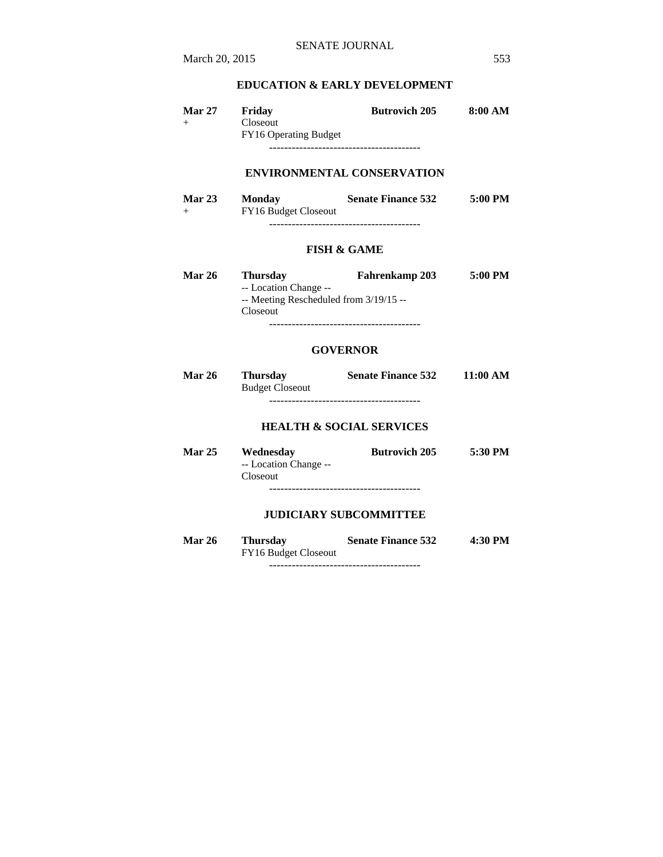# **EDUCATION & EARLY DEVELOPMENT**

| <b>Mar 27</b><br>$^{+}$ | Friday<br>Closeout<br><b>FY16 Operating Budget</b> | <b>Butrovich 205</b> | 8:00 AM |
|-------------------------|----------------------------------------------------|----------------------|---------|
|                         |                                                    |                      |         |

# **ENVIRONMENTAL CONSERVATION**

| Mar $23$ | <b>Monday</b>               | <b>Senate Finance 532</b> | 5:00 PM |
|----------|-----------------------------|---------------------------|---------|
| $^{+}$   | <b>FY16 Budget Closeout</b> |                           |         |
|          |                             |                           |         |

### **FISH & GAME**

| <b>Mar 26</b> | <b>Thursday</b>                          | <b>Fahrenkamp 203</b> | 5:00 PM |
|---------------|------------------------------------------|-----------------------|---------|
|               | -- Location Change --                    |                       |         |
|               | $-$ Meeting Rescheduled from $3/19/15 -$ |                       |         |
|               | Closeout                                 |                       |         |
|               |                                          |                       |         |

### **GOVERNOR**

| <b>Mar 26</b> | <b>Thursday</b>        | <b>Senate Finance 532</b> | 11:00 AM |
|---------------|------------------------|---------------------------|----------|
|               | <b>Budget Closeout</b> |                           |          |
|               |                        |                           |          |

### **HEALTH & SOCIAL SERVICES**

| <b>Mar 25</b> | Wednesday             | <b>Butrovich 205</b> | 5:30 PM |
|---------------|-----------------------|----------------------|---------|
|               | -- Location Change -- |                      |         |
|               | <b>Closeout</b>       |                      |         |
|               |                       |                      |         |

# **JUDICIARY SUBCOMMITTEE**

| <b>Mar 26</b> | <b>Thursday</b>      | <b>Senate Finance 532</b> | 4:30 PM |
|---------------|----------------------|---------------------------|---------|
|               | FY16 Budget Closeout |                           |         |
|               |                      |                           |         |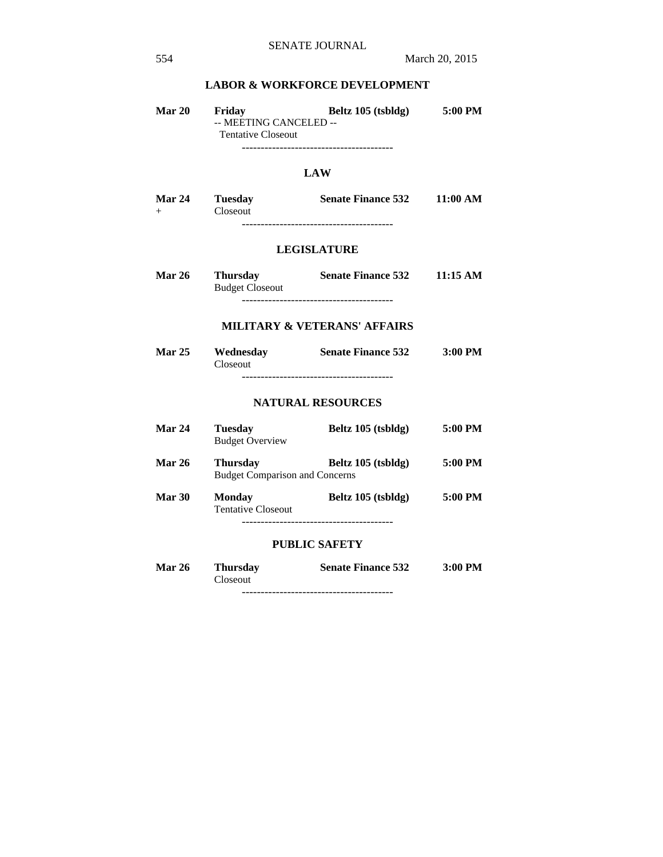## **LABOR & WORKFORCE DEVELOPMENT**

| <b>Mar 20</b> | Friday                    | Beltz 105 (tsbldg) | 5:00 PM |
|---------------|---------------------------|--------------------|---------|
|               | -- MEETING CANCELED --    |                    |         |
|               | <b>Tentative Closeout</b> |                    |         |
|               |                           |                    |         |

# **LAW**

| <b>Mar 24</b> | <b>Tuesday</b>  | <b>Senate Finance 532</b> | 11:00 AM |
|---------------|-----------------|---------------------------|----------|
|               | <b>Closeout</b> |                           |          |
|               |                 |                           |          |

# **LEGISLATURE**

| <b>Mar 26</b> | <b>Thursday</b>        | <b>Senate Finance 532</b> | 11:15 AM |
|---------------|------------------------|---------------------------|----------|
|               | <b>Budget Closeout</b> |                           |          |
|               |                        |                           |          |

## **MILITARY & VETERANS' AFFAIRS**

| <b>Mar 25</b> | Wednesday       | <b>Senate Finance 532</b> | $3:00$ PM |
|---------------|-----------------|---------------------------|-----------|
|               | <b>Closeout</b> |                           |           |
|               |                 |                           |           |

### **NATURAL RESOURCES**

| <b>Mar 24</b> | <b>Tuesday</b><br><b>Budget Overview</b>                 | Beltz 105 (tsbldg)   | 5:00 PM |
|---------------|----------------------------------------------------------|----------------------|---------|
| <b>Mar 26</b> | <b>Thursday</b><br><b>Budget Comparison and Concerns</b> | Beltz 105 (tsbldg)   | 5:00 PM |
| <b>Mar 30</b> | <b>Monday</b><br><b>Tentative Closeout</b>               | Beltz $105$ (tsbldg) | 5:00 PM |

# **PUBLIC SAFETY**

| <b>Mar 26</b> | <b>Thursday</b> | <b>Senate Finance 532</b> | 3:00 PM |
|---------------|-----------------|---------------------------|---------|
|               | Closeout        |                           |         |
|               |                 |                           |         |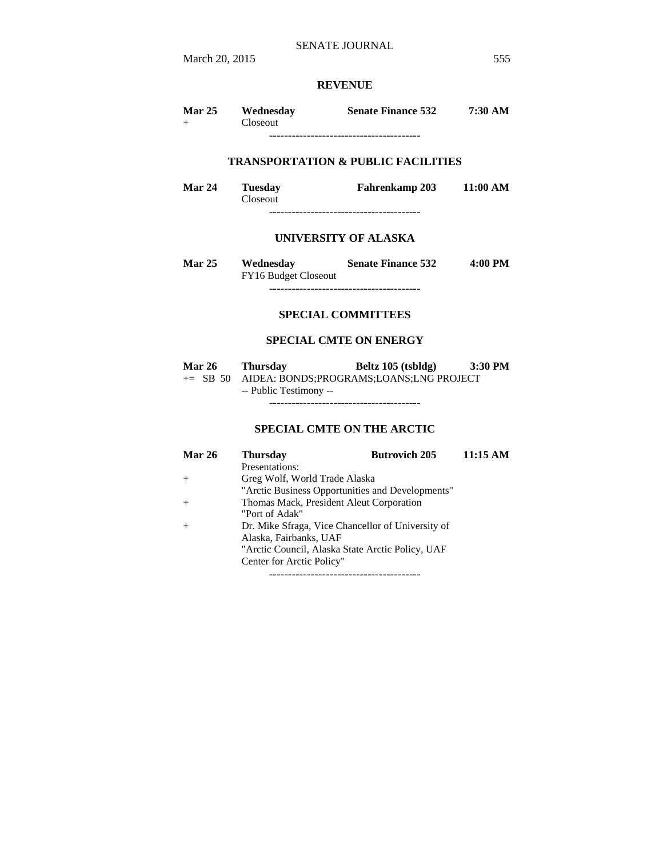# **REVENUE**

| <b>Mar 25</b> | Wednesday<br>Closeout | <b>Senate Finance 532</b> | 7:30 AM |
|---------------|-----------------------|---------------------------|---------|
|               |                       |                           |         |

# **TRANSPORTATION & PUBLIC FACILITIES**

| Mar 24 | <b>Tuesday</b>  | <b>Fahrenkamp 203</b> | 11:00 AM |
|--------|-----------------|-----------------------|----------|
|        | <b>Closeout</b> |                       |          |
|        |                 |                       |          |

### **UNIVERSITY OF ALASKA**

| <b>Mar 25</b> | Wednesday                   | <b>Senate Finance 532</b> | 4:00 PM |
|---------------|-----------------------------|---------------------------|---------|
|               | <b>FY16 Budget Closeout</b> |                           |         |
|               |                             |                           |         |

### **SPECIAL COMMITTEES**

### **SPECIAL CMTE ON ENERGY**

| <b>Mar 26</b> | <b>Thursday</b>                                  | Beltz 105 (tsbldg) | $3:30$ PM |
|---------------|--------------------------------------------------|--------------------|-----------|
|               | += SB 50 AIDEA: BONDS;PROGRAMS;LOANS;LNG PROJECT |                    |           |
|               | -- Public Testimony --                           |                    |           |

----------------------------------------

# **SPECIAL CMTE ON THE ARCTIC**

| <b>Mar 26</b> | <b>Thursday</b>                                   | <b>Butrovich 205</b> | $11:15 \text{ AM}$ |
|---------------|---------------------------------------------------|----------------------|--------------------|
|               | Presentations:                                    |                      |                    |
| $+$           | Greg Wolf, World Trade Alaska                     |                      |                    |
|               | "Arctic Business Opportunities and Developments"  |                      |                    |
|               | Thomas Mack, President Aleut Corporation          |                      |                    |
|               | "Port of Adak"                                    |                      |                    |
| $^{+}$        | Dr. Mike Sfraga, Vice Chancellor of University of |                      |                    |
|               | Alaska, Fairbanks, UAF                            |                      |                    |
|               | "Arctic Council, Alaska State Arctic Policy, UAF  |                      |                    |
|               | Center for Arctic Policy"                         |                      |                    |

----------------------------------------